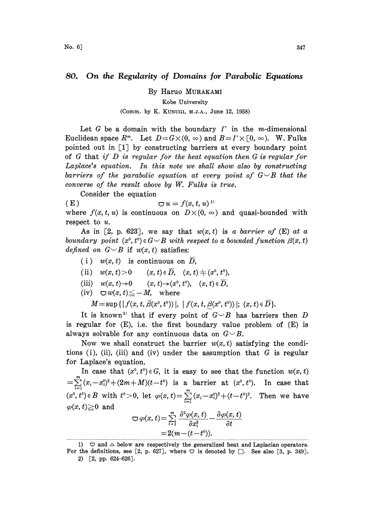## 80. On the Regularity of Domains for Parabolic Equations

By Haruo MURAKAMI

Kobe University

## (Comm. by K. KUNUGI, M.J.A., June 12, 1958)

Let G be a domain with the boundary  $\Gamma$  in the m-dimensional Euclidean space  $R^m$ . Let  $D = G \times (0, \infty)$  and  $B = \Gamma \times [0, \infty)$ . W. Fulks pointed out in [1 by constructing barriers at every boundary point of  $G$  that if  $D$  is regular for the heat equation then  $G$  is regular for Laplace's equation. In this note we shall show also by constructing barriers of the parabolic equation at every point of  $G\smile B$  that the converse of the result above by W. Fulks is true.

Consider the equation ( E )  $\bigcirc u = f(x, t, u)^{1}$ where  $f(x, t, u)$  is continuous on  $D\times(0, \infty)$  and quasi-bounded with respect to  $u$ .

As in [2, p. 623], we say that  $w(x, t)$  is a barrier of (E) at a boundary point  $(x^0, t^0) \in G \setminus B$  with respect to a bounded function  $\beta(x, t)$ defined on  $G\subseteq B$  if  $w(x, t)$  satisfies:

- (i)  $w(x, t)$  is continuous on  $\overline{D}$ ,
- 
- (ii)  $w(x, t) > 0$   $(x, t) \in \overline{D}$ ,  $(x, t) \neq (x^0, t^0)$ ,<br>
(iii)  $w(x, t) \rightarrow 0$   $(x, t) \rightarrow (x^0, t^0)$ ,  $(x, t) \in \overline{D}$ ,<br>
(iv)  $\bigcirc w(x, t) \leq -M$ , where<br>  $M = \sup \{ |f(x, t, \overline{\beta}(x^0, t^0))|, |f(x, t, \beta(x^0, t^0))| \}$ (iii)  $w(x, t) \rightarrow 0$   $(x, t) \rightarrow (x^0, t^0), \quad (x, t) \in \overline{D}$ ,
- (iv)  $\bigcirc w(x, t) \leq -M$ , where

 $M=\sup\{|f(x, t, \overline{\beta}(x^0, t^0))|, |f(x, t, \beta(x^0, t^0))|; (x, t) \in \overline{D}\}.$ 

It is known<sup>2</sup> that if every point of  $G\smile B$  has barriers then D is regular for  $(E)$ , i.e. the first boundary value problem of  $(E)$  is always solvable for any continuous data on  $G\smile B$ .

Now we shall construct the barrier  $w(x, t)$  satisfying the conditions (i), (ii), (iii) and (iv) under the assumption that  $G$  is regular for Laplace's equation.

In case that  $(x^0, t^0) \in G$ , it is easy to see that the function  $w(x, t)$  $=\sum_{i=1}^{n} (x_i-x_i^0)^2+(2m+M)(t-t^0)$  is a barrier at  $(x^0, t^0)$ . In case that  $(x^0, t^0) \in B$  with  $t^0 > 0$ , let  $\varphi(x,t) = \sum_{i=1}^m (x_i-x_i^0)^2 + (t-t^0)^2$ . Then we have  $\varphi(x, t) \geq 0$  and

$$
\nabla \varphi(x,t) = \sum_{i=1}^{m} \frac{\partial^2 \varphi(x,t)}{\partial x_i^2} - \frac{\partial \varphi(x,t)}{\partial t}
$$

$$
= 2(m - (t - t^{\circ})).
$$

<sup>1)</sup>  $\Box$  and  $\triangle$  below are respectively the generalized heat and Laplacian operators. For the definitions, see [2, p. 627], where  $\bigcirc$  is denoted by  $\bigcirc$ . See also [3, p. 349].

<sup>2)</sup> [2, pp. 624-626].